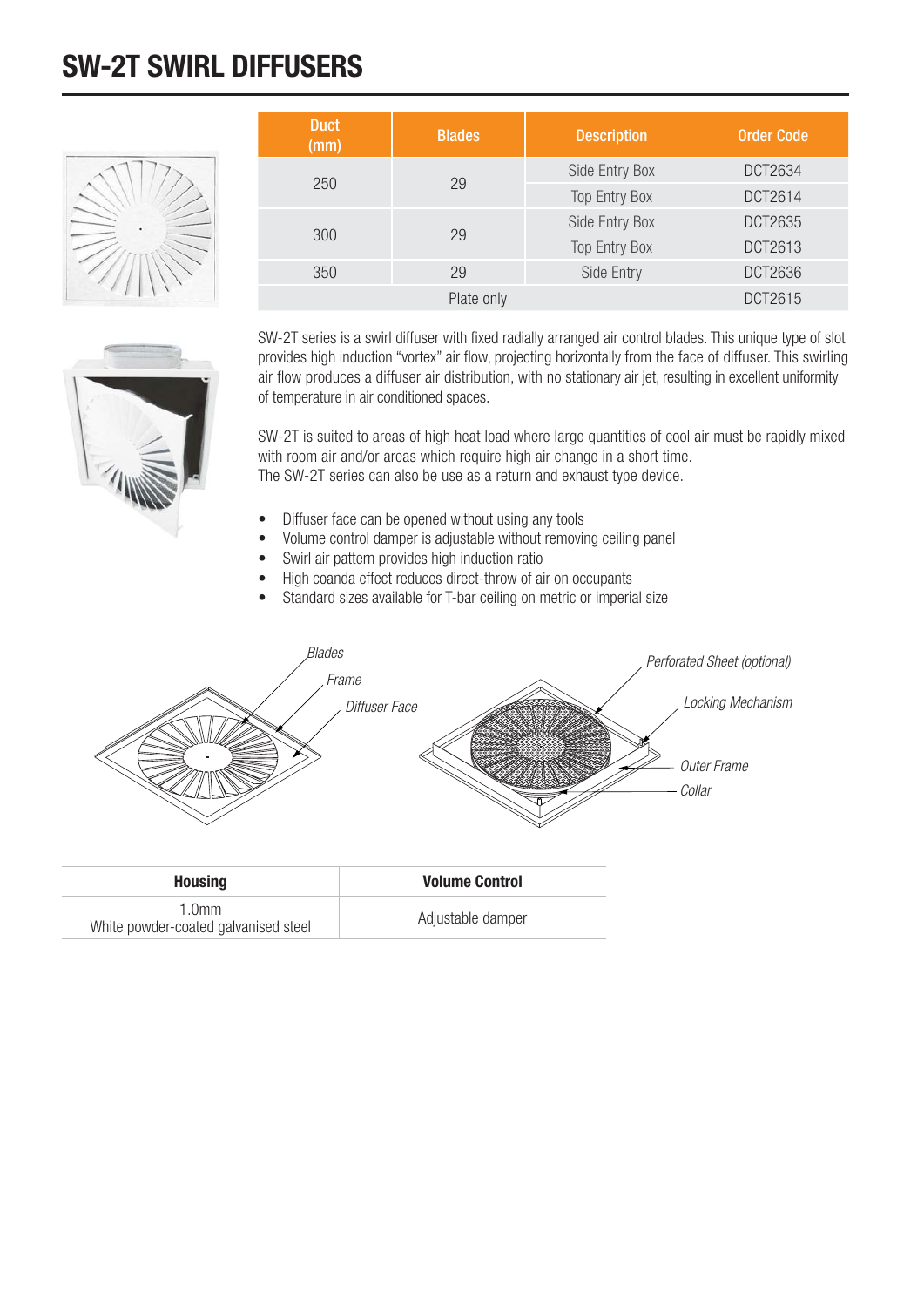## **SW-2T SWIRL DIFFUSERS**



| <b>Duct</b><br>(mm) | <b>Blades</b> | <b>Description</b>   | <b>Order Code</b> |
|---------------------|---------------|----------------------|-------------------|
| 250                 | 29            | Side Entry Box       | DCT2634           |
|                     |               | <b>Top Entry Box</b> | DCT2614           |
|                     | 29            | Side Entry Box       | DCT2635           |
| 300                 |               | <b>Top Entry Box</b> | DCT2613           |
| 350                 | 29            | Side Entry           | DCT2636           |
|                     | Plate only    |                      | DCT2615           |

SW-2T series is a swirl diffuser with fixed radially arranged air control blades. This unique type of slot provides high induction "vortex" air flow, projecting horizontally from the face of diffuser. This swirling air flow produces a diffuser air distribution, with no stationary air jet, resulting in excellent uniformity of temperature in air conditioned spaces.

SW-2T is suited to areas of high heat load where large quantities of cool air must be rapidly mixed with room air and/or areas which require high air change in a short time. The SW-2T series can also be use as a return and exhaust type device.

- Diffuser face can be opened without using any tools
- Volume control damper is adjustable without removing ceiling panel
- Swirl air pattern provides high induction ratio
- High coanda effect reduces direct-throw of air on occupants
- Standard sizes available for T-bar ceiling on metric or imperial size



| <b>Housing</b>                                            | <b>Volume Control</b> |
|-----------------------------------------------------------|-----------------------|
| 1.0 <sub>mm</sub><br>White powder-coated galvanised steel | Adjustable damper     |